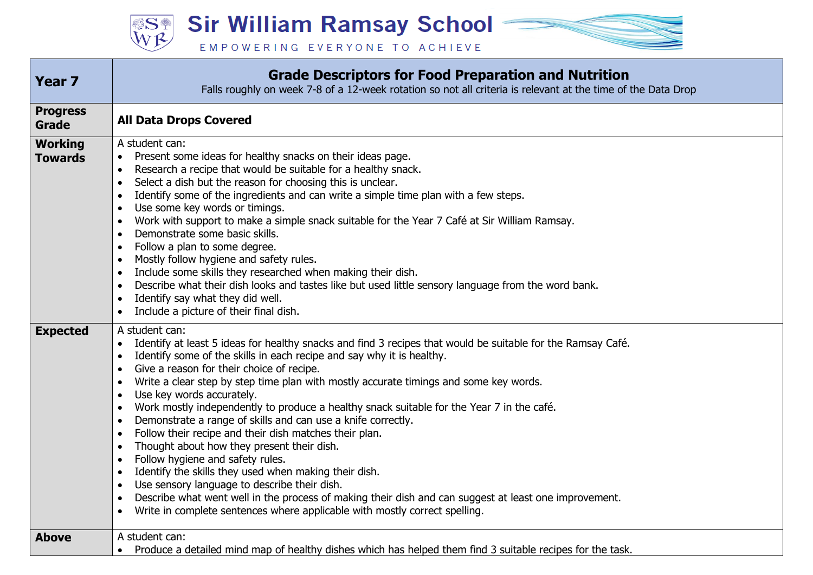**SE Sir William Ramsay School -**

EMPOWERING EVERYONE TO ACHIEVE



| <b>Year 7</b>                    | <b>Grade Descriptors for Food Preparation and Nutrition</b><br>Falls roughly on week 7-8 of a 12-week rotation so not all criteria is relevant at the time of the Data Drop                                                                                                                                                                                                                                                                                                                                                                                                                                                                                                                                                                                                                                                                                                                                                                                                                                                                                                                                          |
|----------------------------------|----------------------------------------------------------------------------------------------------------------------------------------------------------------------------------------------------------------------------------------------------------------------------------------------------------------------------------------------------------------------------------------------------------------------------------------------------------------------------------------------------------------------------------------------------------------------------------------------------------------------------------------------------------------------------------------------------------------------------------------------------------------------------------------------------------------------------------------------------------------------------------------------------------------------------------------------------------------------------------------------------------------------------------------------------------------------------------------------------------------------|
| <b>Progress</b><br>Grade         | <b>All Data Drops Covered</b>                                                                                                                                                                                                                                                                                                                                                                                                                                                                                                                                                                                                                                                                                                                                                                                                                                                                                                                                                                                                                                                                                        |
| <b>Working</b><br><b>Towards</b> | A student can:<br>Present some ideas for healthy snacks on their ideas page.<br>$\bullet$<br>Research a recipe that would be suitable for a healthy snack.<br>$\bullet$<br>Select a dish but the reason for choosing this is unclear.<br>$\bullet$<br>Identify some of the ingredients and can write a simple time plan with a few steps.<br>Use some key words or timings.<br>$\bullet$<br>Work with support to make a simple snack suitable for the Year 7 Café at Sir William Ramsay.<br>$\bullet$<br>Demonstrate some basic skills.<br>$\bullet$<br>Follow a plan to some degree.<br>$\bullet$<br>Mostly follow hygiene and safety rules.<br>$\bullet$<br>Include some skills they researched when making their dish.<br>Describe what their dish looks and tastes like but used little sensory language from the word bank.<br>$\bullet$<br>Identify say what they did well.<br>$\bullet$<br>Include a picture of their final dish.<br>$\bullet$                                                                                                                                                                |
| <b>Expected</b>                  | A student can:<br>Identify at least 5 ideas for healthy snacks and find 3 recipes that would be suitable for the Ramsay Café.<br>Identify some of the skills in each recipe and say why it is healthy.<br>Give a reason for their choice of recipe.<br>$\bullet$<br>Write a clear step by step time plan with mostly accurate timings and some key words.<br>Use key words accurately.<br>$\bullet$<br>Work mostly independently to produce a healthy snack suitable for the Year 7 in the café.<br>$\bullet$<br>Demonstrate a range of skills and can use a knife correctly.<br>$\bullet$<br>Follow their recipe and their dish matches their plan.<br>$\bullet$<br>Thought about how they present their dish.<br>$\bullet$<br>Follow hygiene and safety rules.<br>$\bullet$<br>Identify the skills they used when making their dish.<br>$\bullet$<br>Use sensory language to describe their dish.<br>$\bullet$<br>Describe what went well in the process of making their dish and can suggest at least one improvement.<br>$\bullet$<br>Write in complete sentences where applicable with mostly correct spelling. |
| <b>Above</b>                     | A student can:<br>Produce a detailed mind map of healthy dishes which has helped them find 3 suitable recipes for the task.                                                                                                                                                                                                                                                                                                                                                                                                                                                                                                                                                                                                                                                                                                                                                                                                                                                                                                                                                                                          |